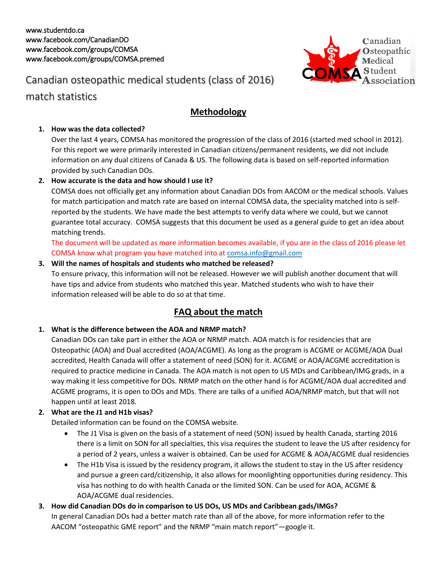

## Canadian osteopathic medical students (class of 2016)

### match statistics

### **Methodology**

#### **1. How was the data collected?**

Over the last 4 years, COMSA has monitored the progression of the class of 2016 (started med school in 2012). For this report we were primarily interested in Canadian citizens/permanent residents, we did not include information on any dual citizens of Canada & US. The following data is based on self-reported information provided by such Canadian DOs.

#### **2. How accurate is the data and how should I use it?**

COMSA does not officially get any information about Canadian DOs from AACOM or the medical schools. Values for match participation and match rate are based on internal COMSA data, the speciality matched into is selfreported by the students. We have made the best attempts to verify data where we could, but we cannot guarantee total accuracy. COMSA suggests that this document be used as a general guide to get an idea about matching trends.

The document will be updated as more information becomes available, if you are in the class of 2016 please let COMSA know what program you have matched into at [comsa.info@gmail.com](mailto:comsa.info@gmail.com)

#### **3. Will the names of hospitals and students who matched be released?**

To ensure privacy, this information will not be released. However we will publish another document that will have tips and advice from students who matched this year. Matched students who wish to have their information released will be able to do so at that time.

### **FAQ about the match**

#### **1. What is the difference between the AOA and NRMP match?**

Canadian DOs can take part in either the AOA or NRMP match. AOA match is for residencies that are Osteopathic (AOA) and Dual accredited (AOA/ACGME). As long as the program is ACGME or ACGME/AOA Dual accredited, Health Canada will offer a statement of need (SON) for it. ACGME or AOA/ACGME accreditation is required to practice medicine in Canada. The AOA match is not open to US MDs and Caribbean/IMG grads, in a way making it less competitive for DOs. NRMP match on the other hand is for ACGME/AOA dual accredited and ACGME programs, it is open to DOs and MDs. There are talks of a unified AOA/NRMP match, but that will not happen until at least 2018.

#### **2. What are the J1 and H1b visas?**

Detailed information can be found on the COMSA website.

- The J1 Visa is given on the basis of a statement of need (SON) issued by health Canada, starting 2016 there is a limit on SON for all specialties, this visa requires the student to leave the US after residency for a period of 2 years, unless a waiver is obtained. Can be used for ACGME & AOA/ACGME dual residencies
- The H1b Visa is issued by the residency program, it allows the student to stay in the US after residency and pursue a green card/citizenship, it also allows for moonlighting opportunities during residency. This visa has nothing to do with health Canada or the limited SON. Can be used for AOA, ACGME & AOA/ACGME dual residencies.
- **3. How did Canadian DOs do in comparison to US DOs, US MDs and Caribbean gads/IMGs?** In general Canadian DOs had a better match rate than all of the above, for more information refer to the AACOM "osteopathic GME report" and the NRMP "main match report"—google it.